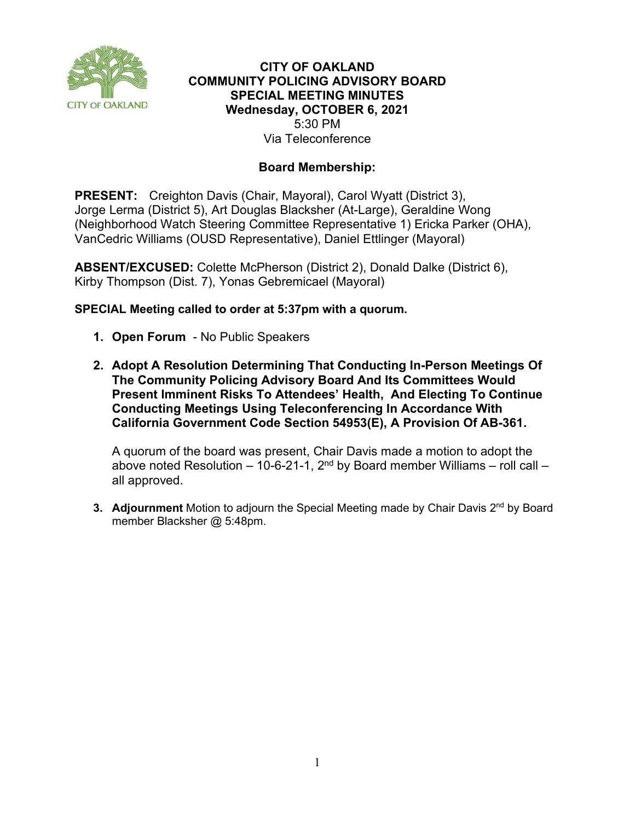

# **CITY OF OAKLAND COMMUNITY POLICING ADVISORY BOARD SPECIAL MEETING MINUTES Wednesday, OCTOBER 6, 2021** 5:30 PM Via Teleconference

# **Board Membership:**

**PRESENT:** Creighton Davis (Chair, Mayoral), Carol Wyatt (District 3), Jorge Lerma (District 5), Art Douglas Blacksher (At-Large), Geraldine Wong (Neighborhood Watch Steering Committee Representative 1) Ericka Parker (OHA), VanCedric Williams (OUSD Representative), Daniel Ettlinger (Mayoral)

**ABSENT/EXCUSED:** Colette McPherson (District 2), Donald Dalke (District 6), Kirby Thompson (Dist. 7), Yonas Gebremicael (Mayoral)

# **SPECIAL Meeting called to order at 5:37pm with a quorum.**

- **1. Open Forum**  No Public Speakers
- **2. Adopt A Resolution Determining That Conducting In-Person Meetings Of The Community Policing Advisory Board And Its Committees Would Present Imminent Risks To Attendees' Health, And Electing To Continue Conducting Meetings Using Teleconferencing In Accordance With California Government Code Section 54953(E), A Provision Of AB-361.**

A quorum of the board was present, Chair Davis made a motion to adopt the above noted Resolution – 10-6-21-1,  $2<sup>nd</sup>$  by Board member Williams – roll call – all approved.

**3. Adjournment** Motion to adjourn the Special Meeting made by Chair Davis 2<sup>nd</sup> by Board member Blacksher @ 5:48pm.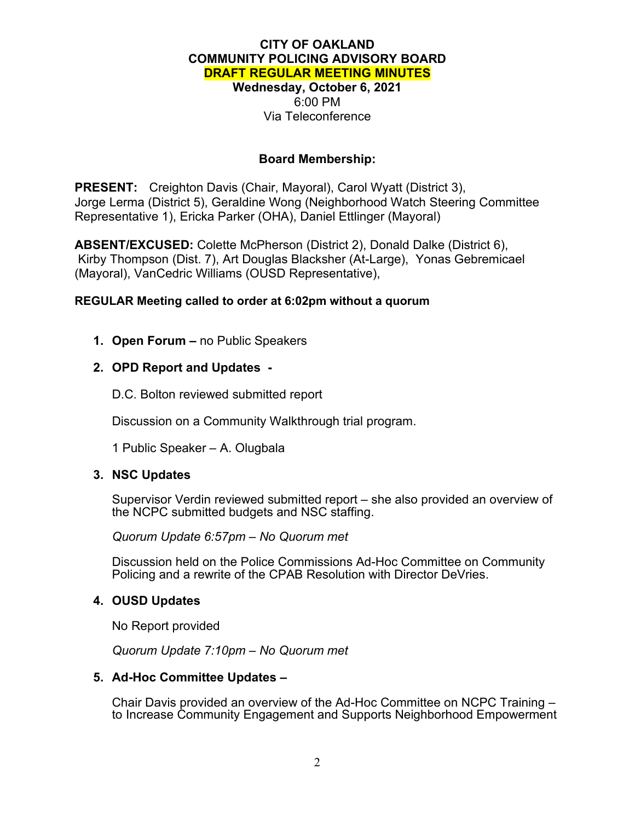# **CITY OF OAKLAND COMMUNITY POLICING ADVISORY BOARD DRAFT REGULAR MEETING MINUTES Wednesday, October 6, 2021** 6:00 PM Via Teleconference

### **Board Membership:**

**PRESENT:** Creighton Davis (Chair, Mayoral), Carol Wyatt (District 3), Jorge Lerma (District 5), Geraldine Wong (Neighborhood Watch Steering Committee Representative 1), Ericka Parker (OHA), Daniel Ettlinger (Mayoral)

**ABSENT/EXCUSED:** Colette McPherson (District 2), Donald Dalke (District 6), Kirby Thompson (Dist. 7), Art Douglas Blacksher (At-Large), Yonas Gebremicael (Mayoral), VanCedric Williams (OUSD Representative),

#### **REGULAR Meeting called to order at 6:02pm without a quorum**

**1. Open Forum –** no Public Speakers

# **2. OPD Report and Updates -**

D.C. Bolton reviewed submitted report

Discussion on a Community Walkthrough trial program.

1 Public Speaker – A. Olugbala

# **3. NSC Updates**

Supervisor Verdin reviewed submitted report – she also provided an overview of the NCPC submitted budgets and NSC staffing.

*Quorum Update 6:57pm – No Quorum met*

Discussion held on the Police Commissions Ad-Hoc Committee on Community Policing and a rewrite of the CPAB Resolution with Director DeVries.

#### **4. OUSD Updates**

No Report provided

*Quorum Update 7:10pm – No Quorum met*

#### **5. Ad-Hoc Committee Updates –**

Chair Davis provided an overview of the Ad-Hoc Committee on NCPC Training – to Increase Community Engagement and Supports Neighborhood Empowerment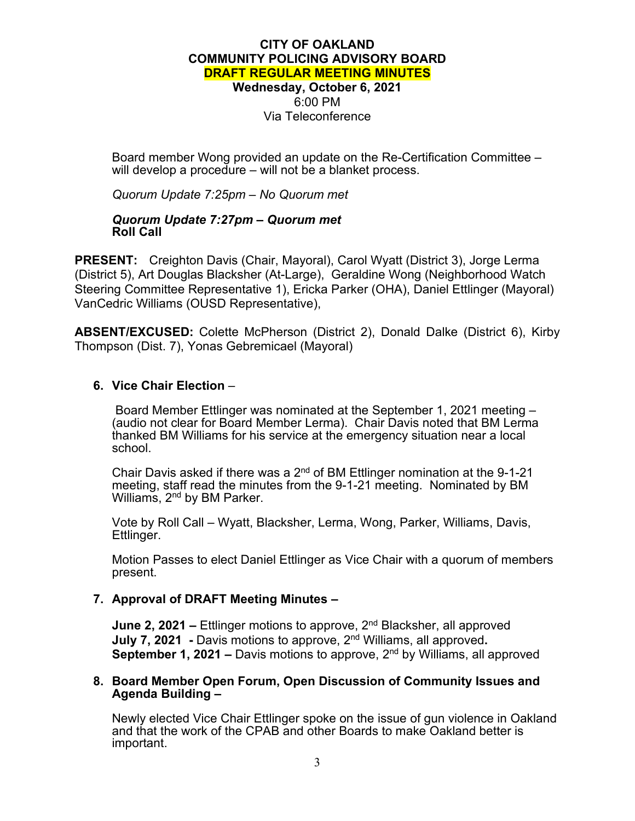# **CITY OF OAKLAND COMMUNITY POLICING ADVISORY BOARD DRAFT REGULAR MEETING MINUTES Wednesday, October 6, 2021** 6:00 PM Via Teleconference

Board member Wong provided an update on the Re-Certification Committee – will develop a procedure – will not be a blanket process.

*Quorum Update 7:25pm – No Quorum met*

#### *Quorum Update 7:27pm – Quorum met* **Roll Call**

**PRESENT:** Creighton Davis (Chair, Mayoral), Carol Wyatt (District 3), Jorge Lerma (District 5), Art Douglas Blacksher (At-Large), Geraldine Wong (Neighborhood Watch Steering Committee Representative 1), Ericka Parker (OHA), Daniel Ettlinger (Mayoral) VanCedric Williams (OUSD Representative),

**ABSENT/EXCUSED:** Colette McPherson (District 2), Donald Dalke (District 6), Kirby Thompson (Dist. 7), Yonas Gebremicael (Mayoral)

#### **6. Vice Chair Election** –

Board Member Ettlinger was nominated at the September 1, 2021 meeting – (audio not clear for Board Member Lerma). Chair Davis noted that BM Lerma thanked BM Williams for his service at the emergency situation near a local school.

Chair Davis asked if there was a 2nd of BM Ettlinger nomination at the 9-1-21 meeting, staff read the minutes from the 9-1-21 meeting. Nominated by BM Williams, 2<sup>nd</sup> by BM Parker.

Vote by Roll Call – Wyatt, Blacksher, Lerma, Wong, Parker, Williams, Davis, Ettlinger.

Motion Passes to elect Daniel Ettlinger as Vice Chair with a quorum of members present.

#### **7. Approval of DRAFT Meeting Minutes –**

**June 2, 2021 –** Ettlinger motions to approve, 2<sup>nd</sup> Blacksher, all approved **July 7, 2021 -** Davis motions to approve, 2nd Williams, all approved**. September 1, 2021 –** Davis motions to approve, 2nd by Williams, all approved

#### **8. Board Member Open Forum, Open Discussion of Community Issues and Agenda Building –**

Newly elected Vice Chair Ettlinger spoke on the issue of gun violence in Oakland and that the work of the CPAB and other Boards to make Oakland better is important.